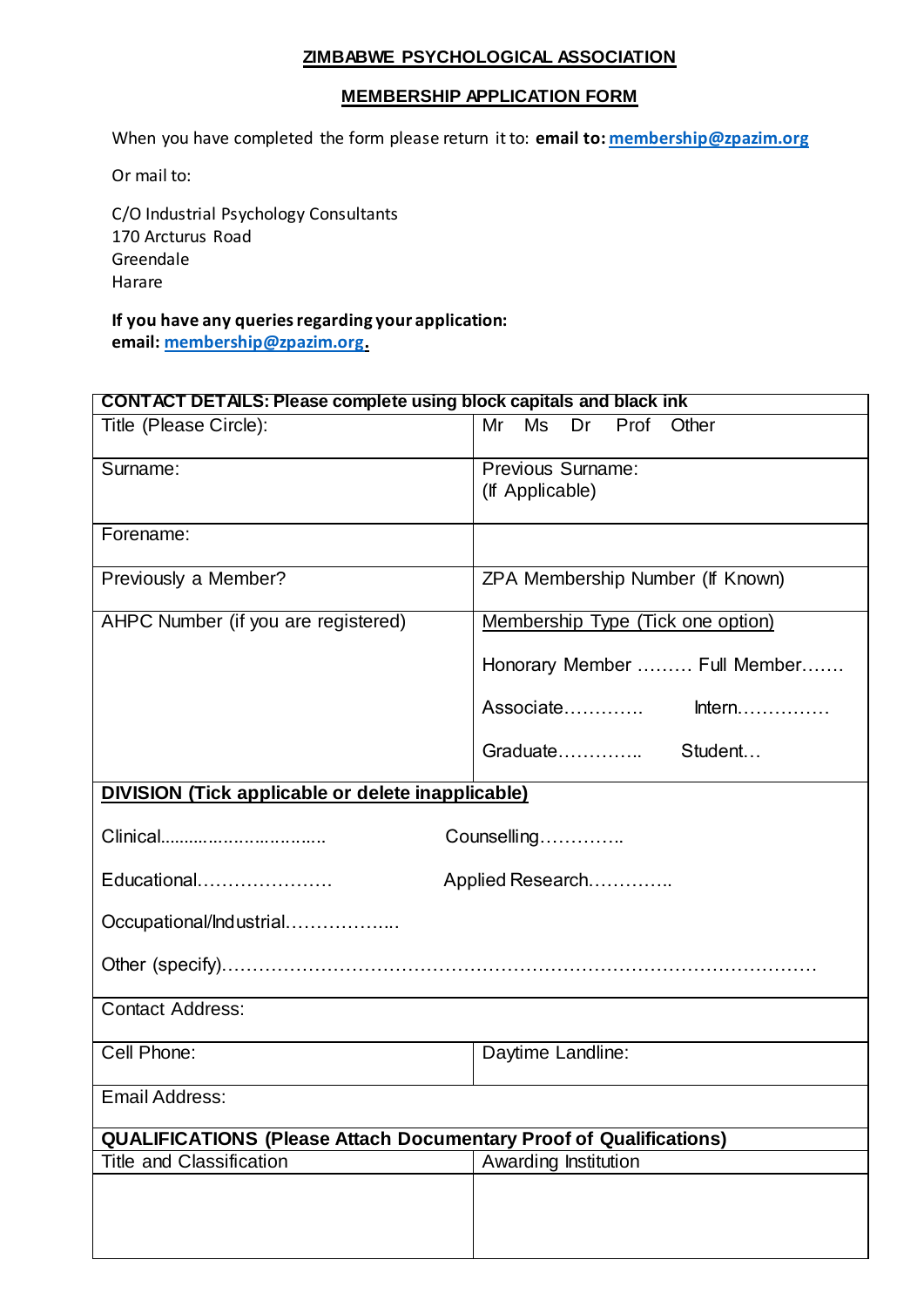## **ZIMBABWE PSYCHOLOGICAL ASSOCIATION**

## **MEMBERSHIP APPLICATION FORM**

When you have completed the form please return it to: **email to[: membership@zpazim.org](mailto:membership@zpazim.org)**

Or mail to:

C/O Industrial Psychology Consultants 170 Arcturus Road Greendale Harare

**If you have any queries regarding your application: email[: membership@zpazim.org.](mailto:membership@zpazim.org)** 

| <b>CONTACT DETAILS: Please complete using block capitals and black ink</b> |                                   |  |
|----------------------------------------------------------------------------|-----------------------------------|--|
| Title (Please Circle):                                                     | Mr<br>Ms<br>Dr<br>Prof<br>Other   |  |
| Surname:                                                                   | Previous Surname:                 |  |
|                                                                            | (If Applicable)                   |  |
| Forename:                                                                  |                                   |  |
|                                                                            |                                   |  |
| Previously a Member?                                                       | ZPA Membership Number (If Known)  |  |
| AHPC Number (if you are registered)                                        | Membership Type (Tick one option) |  |
|                                                                            | Honorary Member  Full Member      |  |
|                                                                            |                                   |  |
|                                                                            | Graduate Student                  |  |
| <b>DIVISION (Tick applicable or delete inapplicable)</b>                   |                                   |  |
| Clinical<br>Counselling                                                    |                                   |  |
| Educational<br>Applied Research                                            |                                   |  |
| Occupational/Industrial                                                    |                                   |  |
|                                                                            |                                   |  |
| <b>Contact Address:</b>                                                    |                                   |  |
| Cell Phone:                                                                | Daytime Landline:                 |  |
| <b>Email Address:</b>                                                      |                                   |  |
| <b>QUALIFICATIONS (Please Attach Documentary Proof of Qualifications)</b>  |                                   |  |
| <b>Title and Classification</b>                                            | Awarding Institution              |  |
|                                                                            |                                   |  |
|                                                                            |                                   |  |
|                                                                            |                                   |  |